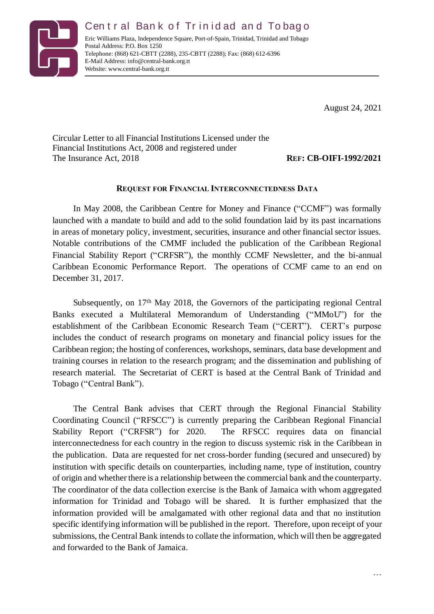

Central Bank of Trinidad and Tobago Eric Williams Plaza, Independence Square, Port-of-Spain, Trinidad, Trinidad and Tobago Postal Address: P.O. Box 1250 Telephone: (868) 621-CBTT (2288), 235-CBTT (2288); Fax: (868) 612-6396 E-Mail Address: info@central-bank.org.tt Website: www.central-bank.org.tt

August 24, 2021

Circular Letter to all Financial Institutions Licensed under the Financial Institutions Act, 2008 and registered under The Insurance Act, 2018 **REF: CB-OIFI-1992/2021**

## **REQUEST FOR FINANCIAL INTERCONNECTEDNESS DATA**

In May 2008, the Caribbean Centre for Money and Finance ("CCMF") was formally launched with a mandate to build and add to the solid foundation laid by its past incarnations in areas of monetary policy, investment, securities, insurance and other financial sector issues. Notable contributions of the CMMF included the publication of the Caribbean Regional Financial Stability Report ("CRFSR"), the monthly CCMF Newsletter, and the bi-annual Caribbean Economic Performance Report. The operations of CCMF came to an end on December 31, 2017.

Subsequently, on 17<sup>th</sup> May 2018, the Governors of the participating regional Central Banks executed a Multilateral Memorandum of Understanding ("MMoU") for the establishment of the Caribbean Economic Research Team ("CERT"). CERT's purpose includes the conduct of research programs on monetary and financial policy issues for the Caribbean region; the hosting of conferences, workshops, seminars, data base development and training courses in relation to the research program; and the dissemination and publishing of research material. The Secretariat of CERT is based at the Central Bank of Trinidad and Tobago ("Central Bank").

The Central Bank advises that CERT through the Regional Financial Stability Coordinating Council ("RFSCC") is currently preparing the Caribbean Regional Financial Stability Report ("CRFSR") for 2020. The RFSCC requires data on financial interconnectedness for each country in the region to discuss systemic risk in the Caribbean in the publication. Data are requested for net cross-border funding (secured and unsecured) by institution with specific details on counterparties, including name, type of institution, country of origin and whether there is a relationship between the commercial bank and the counterparty. The coordinator of the data collection exercise is the Bank of Jamaica with whom aggregated information for Trinidad and Tobago will be shared. It is further emphasized that the information provided will be amalgamated with other regional data and that no institution specific identifying information will be published in the report. Therefore, upon receipt of your submissions, the Central Bank intends to collate the information, which will then be aggregated and forwarded to the Bank of Jamaica.